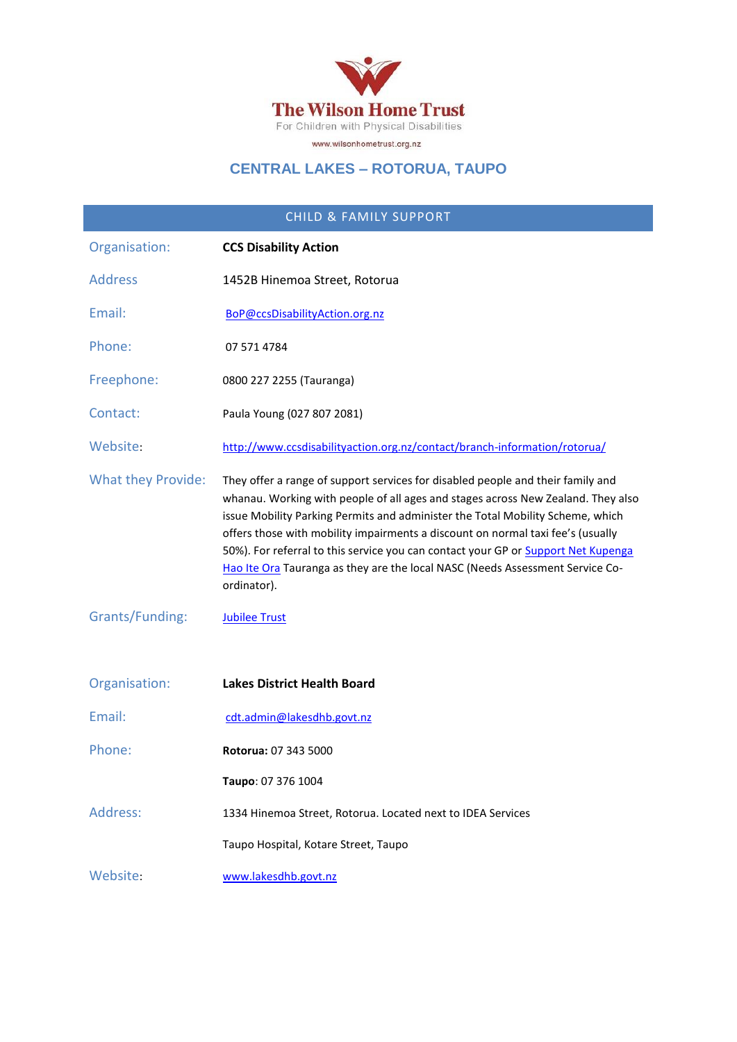

# **CENTRAL LAKES – ROTORUA, TAUPO**

| <b>CHILD &amp; FAMILY SUPPORT</b> |                                                                                                                                                                                                                                                                                                                                                                                                                                                                                                                               |
|-----------------------------------|-------------------------------------------------------------------------------------------------------------------------------------------------------------------------------------------------------------------------------------------------------------------------------------------------------------------------------------------------------------------------------------------------------------------------------------------------------------------------------------------------------------------------------|
| Organisation:                     | <b>CCS Disability Action</b>                                                                                                                                                                                                                                                                                                                                                                                                                                                                                                  |
| <b>Address</b>                    | 1452B Hinemoa Street, Rotorua                                                                                                                                                                                                                                                                                                                                                                                                                                                                                                 |
| Email:                            | BoP@ccsDisabilityAction.org.nz                                                                                                                                                                                                                                                                                                                                                                                                                                                                                                |
| Phone:                            | 07 571 4784                                                                                                                                                                                                                                                                                                                                                                                                                                                                                                                   |
| Freephone:                        | 0800 227 2255 (Tauranga)                                                                                                                                                                                                                                                                                                                                                                                                                                                                                                      |
| Contact:                          | Paula Young (027 807 2081)                                                                                                                                                                                                                                                                                                                                                                                                                                                                                                    |
| Website:                          | http://www.ccsdisabilityaction.org.nz/contact/branch-information/rotorua/                                                                                                                                                                                                                                                                                                                                                                                                                                                     |
| <b>What they Provide:</b>         | They offer a range of support services for disabled people and their family and<br>whanau. Working with people of all ages and stages across New Zealand. They also<br>issue Mobility Parking Permits and administer the Total Mobility Scheme, which<br>offers those with mobility impairments a discount on normal taxi fee's (usually<br>50%). For referral to this service you can contact your GP or Support Net Kupenga<br>Hao Ite Ora Tauranga as they are the local NASC (Needs Assessment Service Co-<br>ordinator). |
| Grants/Funding:                   | <b>Jubilee Trust</b>                                                                                                                                                                                                                                                                                                                                                                                                                                                                                                          |
| Organisation:                     | <b>Lakes District Health Board</b>                                                                                                                                                                                                                                                                                                                                                                                                                                                                                            |
| Email:                            | cdt.admin@lakesdhb.govt.nz                                                                                                                                                                                                                                                                                                                                                                                                                                                                                                    |
| Phone:                            | Rotorua: 07 343 5000                                                                                                                                                                                                                                                                                                                                                                                                                                                                                                          |
|                                   | Taupo: 07 376 1004                                                                                                                                                                                                                                                                                                                                                                                                                                                                                                            |
| Address:                          | 1334 Hinemoa Street, Rotorua. Located next to IDEA Services                                                                                                                                                                                                                                                                                                                                                                                                                                                                   |
|                                   | Taupo Hospital, Kotare Street, Taupo                                                                                                                                                                                                                                                                                                                                                                                                                                                                                          |
| Website:                          | www.lakesdhb.govt.nz                                                                                                                                                                                                                                                                                                                                                                                                                                                                                                          |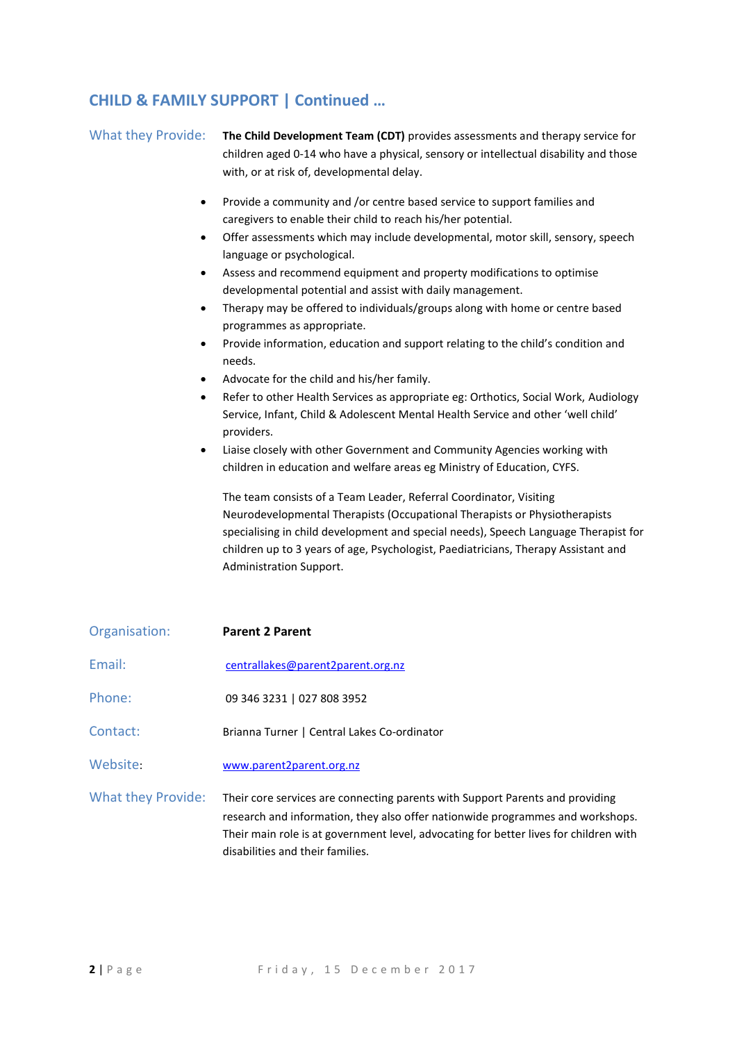#### **CHILD & FAMILY SUPPORT | Continued …**

| <b>What they Provide:</b>                                  | The Child Development Team (CDT) provides assessments and therapy service for<br>children aged 0-14 who have a physical, sensory or intellectual disability and those<br>with, or at risk of, developmental delay.                                                                                                                                                                                                                                                                                                                                                                                                                                                                                                                                                                                                                                                                                                                                                                                                                                                                                                                                                                                                                                                                                                                                                    |
|------------------------------------------------------------|-----------------------------------------------------------------------------------------------------------------------------------------------------------------------------------------------------------------------------------------------------------------------------------------------------------------------------------------------------------------------------------------------------------------------------------------------------------------------------------------------------------------------------------------------------------------------------------------------------------------------------------------------------------------------------------------------------------------------------------------------------------------------------------------------------------------------------------------------------------------------------------------------------------------------------------------------------------------------------------------------------------------------------------------------------------------------------------------------------------------------------------------------------------------------------------------------------------------------------------------------------------------------------------------------------------------------------------------------------------------------|
| ٠<br>$\bullet$<br>٠<br>$\bullet$<br>$\bullet$<br>$\bullet$ | Provide a community and /or centre based service to support families and<br>caregivers to enable their child to reach his/her potential.<br>Offer assessments which may include developmental, motor skill, sensory, speech<br>language or psychological.<br>Assess and recommend equipment and property modifications to optimise<br>developmental potential and assist with daily management.<br>Therapy may be offered to individuals/groups along with home or centre based<br>programmes as appropriate.<br>Provide information, education and support relating to the child's condition and<br>needs.<br>Advocate for the child and his/her family.<br>Refer to other Health Services as appropriate eg: Orthotics, Social Work, Audiology<br>Service, Infant, Child & Adolescent Mental Health Service and other 'well child'<br>providers.<br>Liaise closely with other Government and Community Agencies working with<br>children in education and welfare areas eg Ministry of Education, CYFS.<br>The team consists of a Team Leader, Referral Coordinator, Visiting<br>Neurodevelopmental Therapists (Occupational Therapists or Physiotherapists<br>specialising in child development and special needs), Speech Language Therapist for<br>children up to 3 years of age, Psychologist, Paediatricians, Therapy Assistant and<br>Administration Support. |
| Organisation:                                              | <b>Parent 2 Parent</b>                                                                                                                                                                                                                                                                                                                                                                                                                                                                                                                                                                                                                                                                                                                                                                                                                                                                                                                                                                                                                                                                                                                                                                                                                                                                                                                                                |
| Email:                                                     | centrallakes@parent2parent.org.nz                                                                                                                                                                                                                                                                                                                                                                                                                                                                                                                                                                                                                                                                                                                                                                                                                                                                                                                                                                                                                                                                                                                                                                                                                                                                                                                                     |
| Phone:                                                     | 09 346 3231   027 808 3952                                                                                                                                                                                                                                                                                                                                                                                                                                                                                                                                                                                                                                                                                                                                                                                                                                                                                                                                                                                                                                                                                                                                                                                                                                                                                                                                            |
| Contact:                                                   | Brianna Turner   Central Lakes Co-ordinator                                                                                                                                                                                                                                                                                                                                                                                                                                                                                                                                                                                                                                                                                                                                                                                                                                                                                                                                                                                                                                                                                                                                                                                                                                                                                                                           |
| Website:                                                   | www.parent2parent.org.nz                                                                                                                                                                                                                                                                                                                                                                                                                                                                                                                                                                                                                                                                                                                                                                                                                                                                                                                                                                                                                                                                                                                                                                                                                                                                                                                                              |

What they Provide: Their core services are connecting parents with Support Parents and providing research and information, they also offer nationwide programmes and workshops. Their main role is at government level, advocating for better lives for children with disabilities and their families.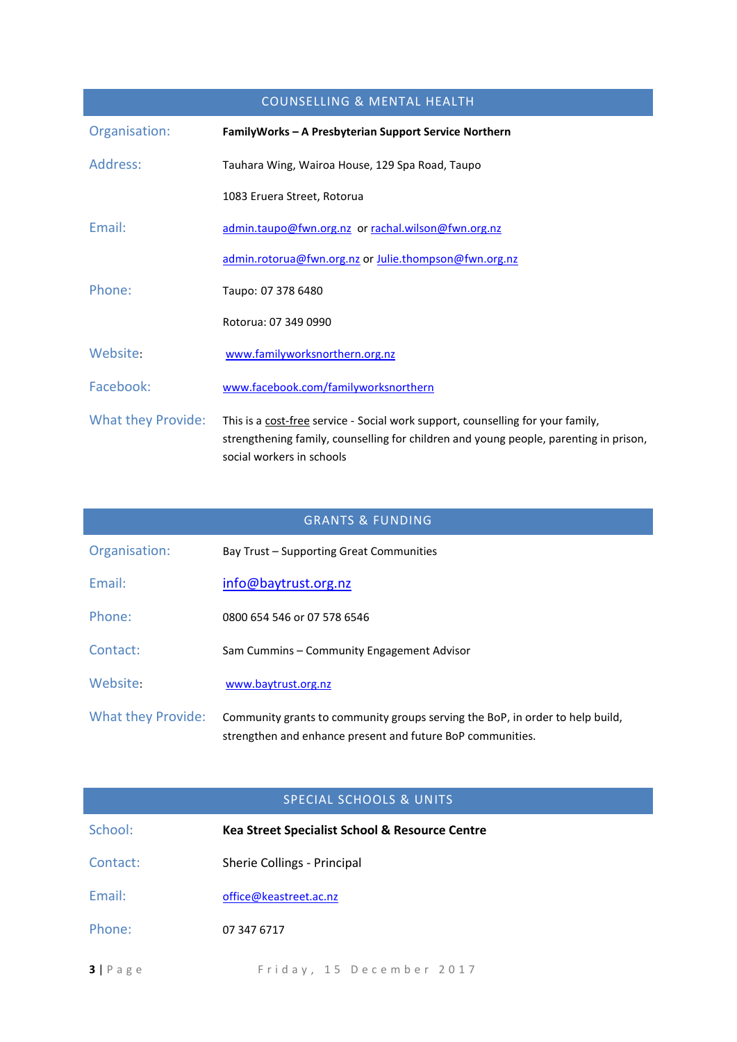| <b>COUNSELLING &amp; MENTAL HEALTH</b> |                                                                                                                                                                                                       |
|----------------------------------------|-------------------------------------------------------------------------------------------------------------------------------------------------------------------------------------------------------|
| Organisation:                          | FamilyWorks - A Presbyterian Support Service Northern                                                                                                                                                 |
| Address:                               | Tauhara Wing, Wairoa House, 129 Spa Road, Taupo                                                                                                                                                       |
|                                        | 1083 Eruera Street, Rotorua                                                                                                                                                                           |
| Email:                                 | admin.taupo@fwn.org.nz or rachal.wilson@fwn.org.nz                                                                                                                                                    |
|                                        | admin.rotorua@fwn.org.nz or Julie.thompson@fwn.org.nz                                                                                                                                                 |
| Phone:                                 | Taupo: 07 378 6480                                                                                                                                                                                    |
|                                        | Rotorua: 07 349 0990                                                                                                                                                                                  |
| Website:                               | www.familyworksnorthern.org.nz                                                                                                                                                                        |
| Facebook:                              | www.facebook.com/familyworksnorthern                                                                                                                                                                  |
| <b>What they Provide:</b>              | This is a cost-free service - Social work support, counselling for your family,<br>strengthening family, counselling for children and young people, parenting in prison,<br>social workers in schools |

| <b>GRANTS &amp; FUNDING</b> |                                                                                                                                             |
|-----------------------------|---------------------------------------------------------------------------------------------------------------------------------------------|
| Organisation:               | Bay Trust – Supporting Great Communities                                                                                                    |
| Fmail:                      | info@baytrust.org.nz                                                                                                                        |
| Phone:                      | 0800 654 546 or 07 578 6546                                                                                                                 |
| Contact:                    | Sam Cummins - Community Engagement Advisor                                                                                                  |
| Website:                    | www.baytrust.org.nz                                                                                                                         |
| <b>What they Provide:</b>   | Community grants to community groups serving the BoP, in order to help build,<br>strengthen and enhance present and future BoP communities. |

#### SPECIAL SCHOOLS & UNITS

| School:            | Kea Street Specialist School & Resource Centre |
|--------------------|------------------------------------------------|
| Contact:           | Sherie Collings - Principal                    |
| Email:             | office@keastreet.ac.nz                         |
| Phone:             | 07 347 6717                                    |
| $3   P \text{age}$ | Friday, 15 December 2017                       |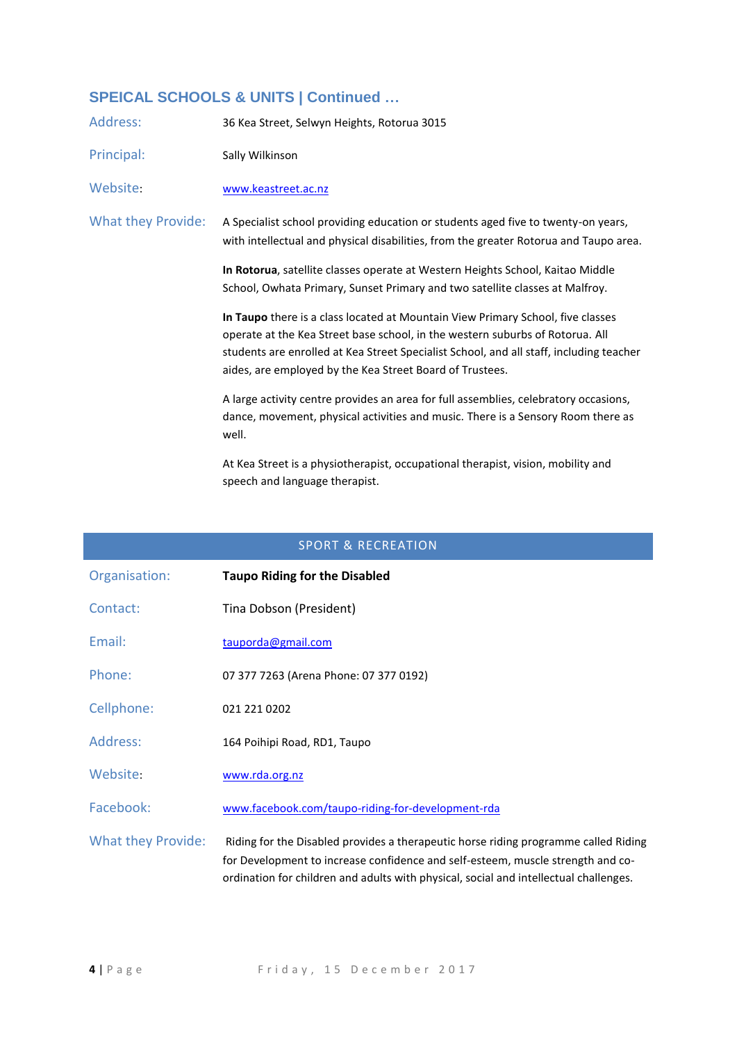# **SPEICAL SCHOOLS & UNITS | Continued …**

| Address:           | 36 Kea Street, Selwyn Heights, Rotorua 3015                                                                                                                                                                                                                                                                             |
|--------------------|-------------------------------------------------------------------------------------------------------------------------------------------------------------------------------------------------------------------------------------------------------------------------------------------------------------------------|
| Principal:         | Sally Wilkinson                                                                                                                                                                                                                                                                                                         |
| Website:           | www.keastreet.ac.nz                                                                                                                                                                                                                                                                                                     |
| What they Provide: | A Specialist school providing education or students aged five to twenty-on years,<br>with intellectual and physical disabilities, from the greater Rotorua and Taupo area.                                                                                                                                              |
|                    | In Rotorua, satellite classes operate at Western Heights School, Kaitao Middle<br>School, Owhata Primary, Sunset Primary and two satellite classes at Malfroy.                                                                                                                                                          |
|                    | In Taupo there is a class located at Mountain View Primary School, five classes<br>operate at the Kea Street base school, in the western suburbs of Rotorua. All<br>students are enrolled at Kea Street Specialist School, and all staff, including teacher<br>aides, are employed by the Kea Street Board of Trustees. |
|                    | A large activity centre provides an area for full assemblies, celebratory occasions,<br>dance, movement, physical activities and music. There is a Sensory Room there as<br>well.                                                                                                                                       |
|                    | At Kea Street is a physiotherapist, occupational therapist, vision, mobility and<br>speech and language therapist.                                                                                                                                                                                                      |

#### SPORT & RECREATION

| Organisation:             | <b>Taupo Riding for the Disabled</b>                                                                                                                                                                                                                            |
|---------------------------|-----------------------------------------------------------------------------------------------------------------------------------------------------------------------------------------------------------------------------------------------------------------|
| Contact:                  | Tina Dobson (President)                                                                                                                                                                                                                                         |
| Email:                    | tauporda@gmail.com                                                                                                                                                                                                                                              |
| Phone:                    | 07 377 7263 (Arena Phone: 07 377 0192)                                                                                                                                                                                                                          |
| Cellphone:                | 021 221 0202                                                                                                                                                                                                                                                    |
| Address:                  | 164 Poihipi Road, RD1, Taupo                                                                                                                                                                                                                                    |
| Website:                  | www.rda.org.nz                                                                                                                                                                                                                                                  |
| Facebook:                 | www.facebook.com/taupo-riding-for-development-rda                                                                                                                                                                                                               |
| <b>What they Provide:</b> | Riding for the Disabled provides a therapeutic horse riding programme called Riding<br>for Development to increase confidence and self-esteem, muscle strength and co-<br>ordination for children and adults with physical, social and intellectual challenges. |